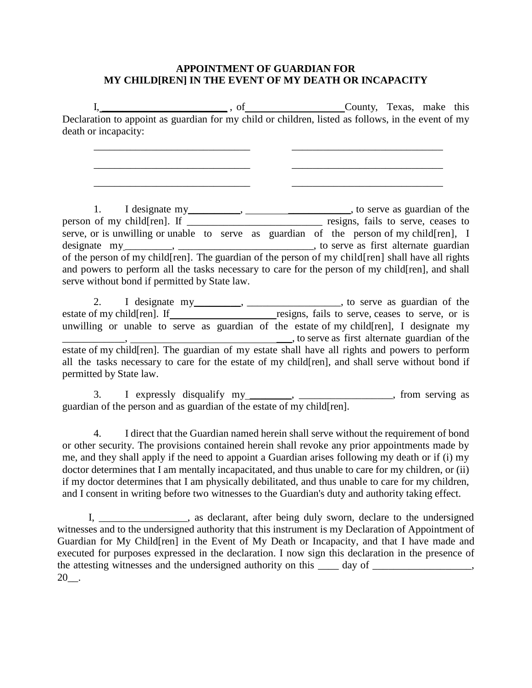## **APPOINTMENT OF GUARDIAN FOR MY CHILD[REN] IN THE EVENT OF MY DEATH OR INCAPACITY**

I, \_\_\_\_\_\_\_\_\_\_\_\_\_\_\_\_\_\_\_\_\_\_\_\_ , of County, Texas, make this Declaration to appoint as guardian for my child or children, listed as follows, in the event of my death or incapacity:

\_\_\_\_\_\_\_\_\_\_\_\_\_\_\_\_\_\_\_\_\_\_\_\_\_\_\_\_\_\_ \_\_\_\_\_\_\_\_\_\_\_\_\_\_\_\_\_\_\_\_\_\_\_\_\_\_\_\_\_

\_\_\_\_\_\_\_\_\_\_\_\_\_\_\_\_\_\_\_\_\_\_\_\_\_\_\_\_\_\_ \_\_\_\_\_\_\_\_\_\_\_\_\_\_\_\_\_\_\_\_\_\_\_\_\_\_\_\_\_

\_\_\_\_\_\_\_\_\_\_\_\_\_\_\_\_\_\_\_\_\_\_\_\_\_\_\_\_\_\_ \_\_\_\_\_\_\_\_\_\_\_\_\_\_\_\_\_\_\_\_\_\_\_\_\_\_\_\_\_

1. I designate my \_\_\_\_\_\_\_\_, \_\_\_\_\_\_\_\_\_\_\_\_\_\_\_\_\_\_\_\_\_, to serve as guardian of the person of my child[ren]. If \_\_\_\_\_\_\_\_\_\_\_\_\_\_\_\_\_\_\_\_\_\_\_\_\_\_\_ resigns, fails to serve, ceases to serve, or is unwilling or unable to serve as guardian of the person of my child [ren], I designate  $my_1, \ldots, \ldots, \ldots, \ldots, \ldots$ , to serve as first alternate guardian of the person of my child[ren]. The guardian of the person of my child[ren] shall have all rights and powers to perform all the tasks necessary to care for the person of my child[ren], and shall serve without bond if permitted by State law.

2. I designate my \_\_\_\_\_\_\_, \_\_\_\_\_\_\_\_\_\_\_\_\_\_\_\_\_, to serve as guardian of the estate of my child[ren]. If resigns, fails to serve, ceases to serve, or is unwilling or unable to serve as guardian of the estate of my child[ren], I designate my  $\Box$ , to serve as first alternate guardian of the estate of my child[ren]. The guardian of my estate shall have all rights and powers to perform all the tasks necessary to care for the estate of my child[ren], and shall serve without bond if permitted by State law.

3. I expressly disqualify my \_\_\_\_\_\_, \_\_\_\_\_\_\_\_\_\_\_\_\_\_\_, from serving as guardian of the person and as guardian of the estate of my child  $[ren]$ .

4. I direct that the Guardian named herein shall serve without the requirement of bond or other security. The provisions contained herein shall revoke any prior appointments made by me, and they shall apply if the need to appoint a Guardian arises following my death or if (i) my doctor determines that I am mentally incapacitated, and thus unable to care for my children, or (ii) if my doctor determines that I am physically debilitated, and thus unable to care for my children, and I consent in writing before two witnesses to the Guardian's duty and authority taking effect.

I, \_\_\_\_\_\_\_\_\_\_\_\_\_\_\_\_\_, as declarant, after being duly sworn, declare to the undersigned witnesses and to the undersigned authority that this instrument is my Declaration of Appointment of Guardian for My Child[ren] in the Event of My Death or Incapacity, and that I have made and executed for purposes expressed in the declaration. I now sign this declaration in the presence of the attesting witnesses and the undersigned authority on this day of  $\cdot$ 20\_\_.